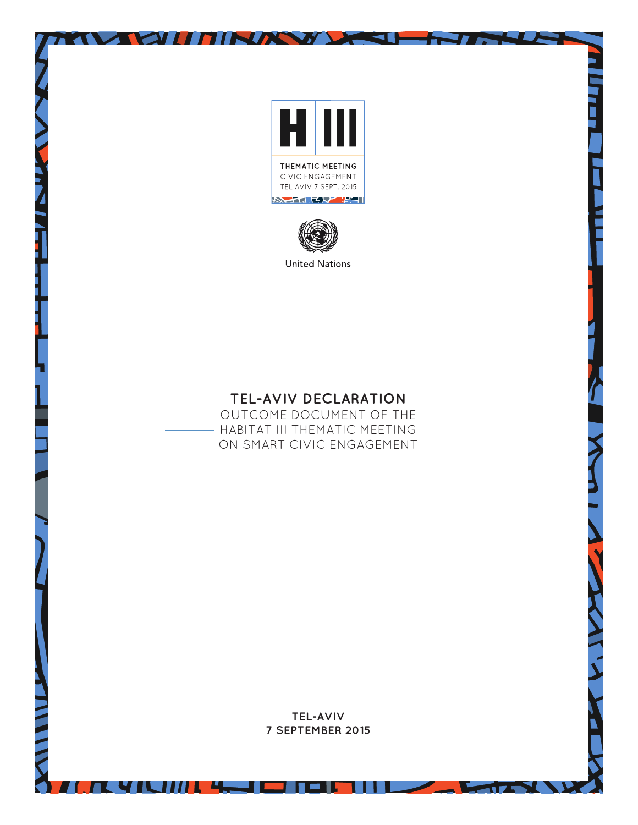

**OUTHMAN DESI** 

 $\overline{\phantom{a}}$ 



**United Nations** 

# **TEL-AVIV DECLARATION**

OUTCOME DOCUMENT OF THE - HABITAT III THEMATIC MEETING -ON SMART CIVIC ENGAGEMENT

> **TEL-AVIV 7 SEPTEMBER 2015**

> > $\overline{1}$   $\overline{1}$   $\overline{1}$   $\overline{1}$   $\overline{1}$   $\overline{1}$   $\overline{1}$   $\overline{1}$   $\overline{1}$   $\overline{1}$   $\overline{1}$   $\overline{1}$   $\overline{1}$   $\overline{1}$   $\overline{1}$   $\overline{1}$   $\overline{1}$   $\overline{1}$   $\overline{1}$   $\overline{1}$   $\overline{1}$   $\overline{1}$   $\overline{1}$   $\overline{1}$   $\overline{$

A 41 31 1 1 4 - 1 - 1 - 1 1 1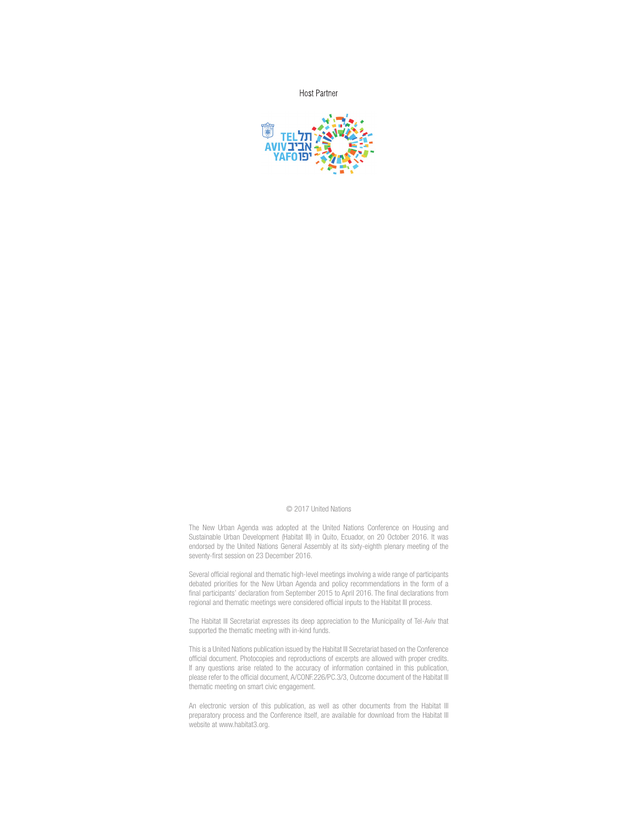**Host Partner** 



#### © 2017 United Nations

The New Urban Agenda was adopted at the United Nations Conference on Housing and Sustainable Urban Development (Habitat III) in Quito, Ecuador, on 20 October 2016. It was endorsed by the United Nations General Assembly at its sixty-eighth plenary meeting of the seventy-first session on 23 December 2016.

Several official regional and thematic high-level meetings involving a wide range of participants debated priorities for the New Urban Agenda and policy recommendations in the form of a final participants' declaration from September 2015 to April 2016. The final declarations from regional and thematic meetings were considered official inputs to the Habitat III process.

The Habitat III Secretariat expresses its deep appreciation to the Municipality of Tel-Aviv that supported the thematic meeting with in-kind funds.

This is a United Nations publication issued by the Habitat III Secretariat based on the Conference official document. Photocopies and reproductions of excerpts are allowed with proper credits. If any questions arise related to the accuracy of information contained in this publication, please refer to the official document, A/CONF.226/PC.3/3, Outcome document of the Habitat III thematic meeting on smart civic engagement.

An electronic version of this publication, as well as other documents from the Habitat III preparatory process and the Conference itself, are available for download from the Habitat III website at www.habitat3.org.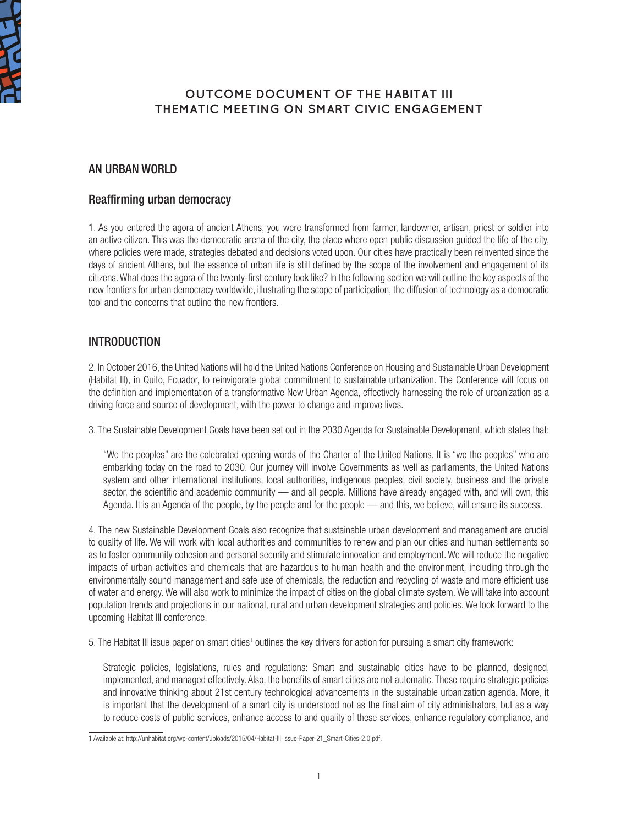

## **OUTCOME DOCUMENT OF THE HABITAT III THEMATIC MEETING ON SMART CIVIC ENGAGEMENT**

## AN URBAN WORLD

## Reaffirming urban democracy

1. As you entered the agora of ancient Athens, you were transformed from farmer, landowner, artisan, priest or soldier into an active citizen. This was the democratic arena of the city, the place where open public discussion guided the life of the city, where policies were made, strategies debated and decisions voted upon. Our cities have practically been reinvented since the days of ancient Athens, but the essence of urban life is still defined by the scope of the involvement and engagement of its citizens. What does the agora of the twenty-first century look like? In the following section we will outline the key aspects of the new frontiers for urban democracy worldwide, illustrating the scope of participation, the diffusion of technology as a democratic tool and the concerns that outline the new frontiers.

## INTRODUCTION

2. In October 2016, the United Nations will hold the United Nations Conference on Housing and Sustainable Urban Development (Habitat III), in Quito, Ecuador, to reinvigorate global commitment to sustainable urbanization. The Conference will focus on the definition and implementation of a transformative New Urban Agenda, effectively harnessing the role of urbanization as a driving force and source of development, with the power to change and improve lives.

3. The Sustainable Development Goals have been set out in the 2030 Agenda for Sustainable Development, which states that:

"We the peoples" are the celebrated opening words of the Charter of the United Nations. It is "we the peoples" who are embarking today on the road to 2030. Our journey will involve Governments as well as parliaments, the United Nations system and other international institutions, local authorities, indigenous peoples, civil society, business and the private sector, the scientific and academic community — and all people. Millions have already engaged with, and will own, this Agenda. It is an Agenda of the people, by the people and for the people — and this, we believe, will ensure its success.

4. The new Sustainable Development Goals also recognize that sustainable urban development and management are crucial to quality of life. We will work with local authorities and communities to renew and plan our cities and human settlements so as to foster community cohesion and personal security and stimulate innovation and employment. We will reduce the negative impacts of urban activities and chemicals that are hazardous to human health and the environment, including through the environmentally sound management and safe use of chemicals, the reduction and recycling of waste and more efficient use of water and energy. We will also work to minimize the impact of cities on the global climate system. We will take into account population trends and projections in our national, rural and urban development strategies and policies. We look forward to the upcoming Habitat III conference.

5. The Habitat III issue paper on smart cities<sup>1</sup> outlines the key drivers for action for pursuing a smart city framework:

Strategic policies, legislations, rules and regulations: Smart and sustainable cities have to be planned, designed, implemented, and managed effectively. Also, the benefits of smart cities are not automatic. These require strategic policies and innovative thinking about 21st century technological advancements in the sustainable urbanization agenda. More, it is important that the development of a smart city is understood not as the final aim of city administrators, but as a way to reduce costs of public services, enhance access to and quality of these services, enhance regulatory compliance, and

<sup>1</sup> Available at: http://unhabitat.org/wp-content/uploads/2015/04/Habitat-III-Issue-Paper-21\_Smart-Cities-2.0.pdf.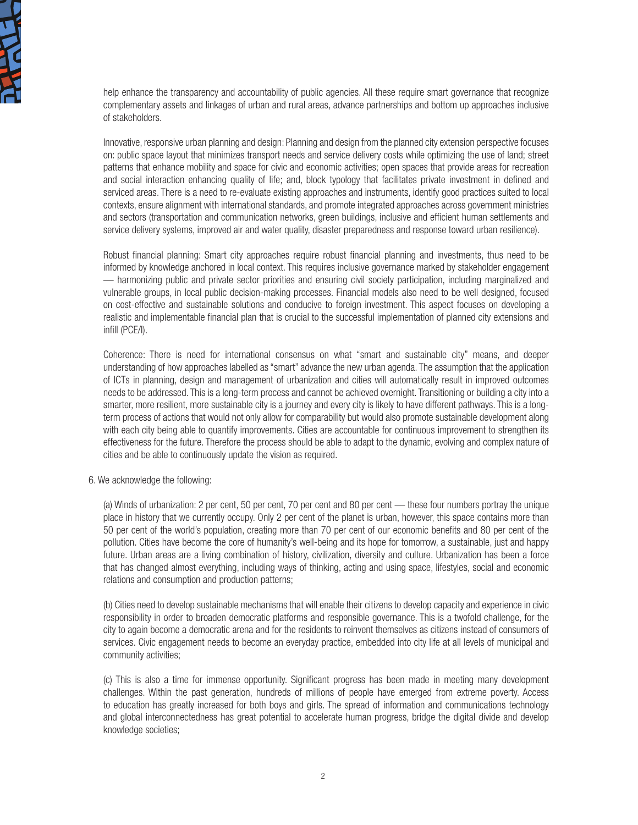

help enhance the transparency and accountability of public agencies. All these require smart governance that recognize complementary assets and linkages of urban and rural areas, advance partnerships and bottom up approaches inclusive of stakeholders.

Innovative, responsive urban planning and design: Planning and design from the planned city extension perspective focuses on: public space layout that minimizes transport needs and service delivery costs while optimizing the use of land; street patterns that enhance mobility and space for civic and economic activities; open spaces that provide areas for recreation and social interaction enhancing quality of life; and, block typology that facilitates private investment in defined and serviced areas. There is a need to re-evaluate existing approaches and instruments, identify good practices suited to local contexts, ensure alignment with international standards, and promote integrated approaches across government ministries and sectors (transportation and communication networks, green buildings, inclusive and efficient human settlements and service delivery systems, improved air and water quality, disaster preparedness and response toward urban resilience).

Robust financial planning: Smart city approaches require robust financial planning and investments, thus need to be informed by knowledge anchored in local context. This requires inclusive governance marked by stakeholder engagement — harmonizing public and private sector priorities and ensuring civil society participation, including marginalized and vulnerable groups, in local public decision-making processes. Financial models also need to be well designed, focused on cost-effective and sustainable solutions and conducive to foreign investment. This aspect focuses on developing a realistic and implementable financial plan that is crucial to the successful implementation of planned city extensions and infill (PCE/I).

Coherence: There is need for international consensus on what "smart and sustainable city" means, and deeper understanding of how approaches labelled as "smart" advance the new urban agenda. The assumption that the application of ICTs in planning, design and management of urbanization and cities will automatically result in improved outcomes needs to be addressed. This is a long-term process and cannot be achieved overnight. Transitioning or building a city into a smarter, more resilient, more sustainable city is a journey and every city is likely to have different pathways. This is a longterm process of actions that would not only allow for comparability but would also promote sustainable development along with each city being able to quantify improvements. Cities are accountable for continuous improvement to strengthen its effectiveness for the future. Therefore the process should be able to adapt to the dynamic, evolving and complex nature of cities and be able to continuously update the vision as required.

#### 6. We acknowledge the following:

(a) Winds of urbanization: 2 per cent, 50 per cent, 70 per cent and 80 per cent — these four numbers portray the unique place in history that we currently occupy. Only 2 per cent of the planet is urban, however, this space contains more than 50 per cent of the world's population, creating more than 70 per cent of our economic benefits and 80 per cent of the pollution. Cities have become the core of humanity's well-being and its hope for tomorrow, a sustainable, just and happy future. Urban areas are a living combination of history, civilization, diversity and culture. Urbanization has been a force that has changed almost everything, including ways of thinking, acting and using space, lifestyles, social and economic relations and consumption and production patterns;

(b) Cities need to develop sustainable mechanisms that will enable their citizens to develop capacity and experience in civic responsibility in order to broaden democratic platforms and responsible governance. This is a twofold challenge, for the city to again become a democratic arena and for the residents to reinvent themselves as citizens instead of consumers of services. Civic engagement needs to become an everyday practice, embedded into city life at all levels of municipal and community activities;

(c) This is also a time for immense opportunity. Significant progress has been made in meeting many development challenges. Within the past generation, hundreds of millions of people have emerged from extreme poverty. Access to education has greatly increased for both boys and girls. The spread of information and communications technology and global interconnectedness has great potential to accelerate human progress, bridge the digital divide and develop knowledge societies;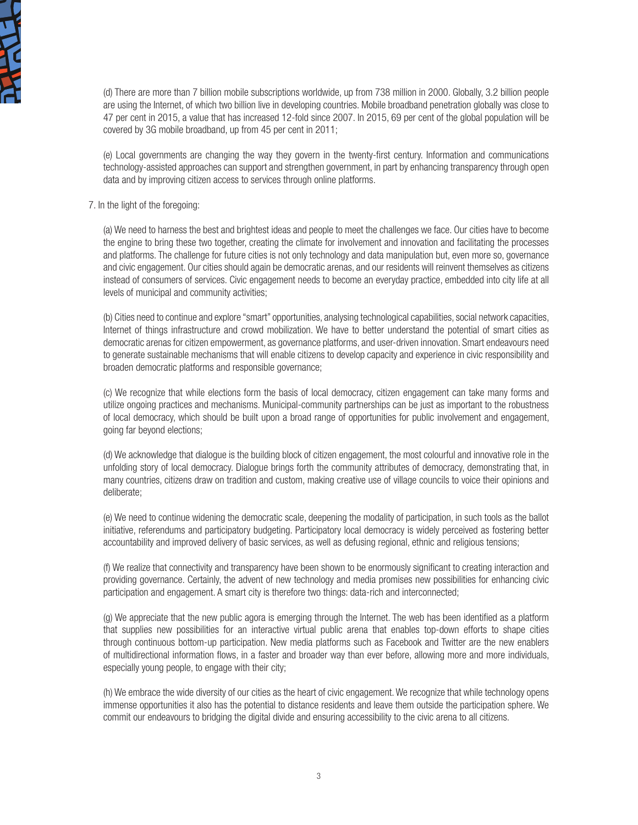

(d) There are more than 7 billion mobile subscriptions worldwide, up from 738 million in 2000. Globally, 3.2 billion people are using the Internet, of which two billion live in developing countries. Mobile broadband penetration globally was close to 47 per cent in 2015, a value that has increased 12-fold since 2007. In 2015, 69 per cent of the global population will be covered by 3G mobile broadband, up from 45 per cent in 2011;

(e) Local governments are changing the way they govern in the twenty-first century. Information and communications technology-assisted approaches can support and strengthen government, in part by enhancing transparency through open data and by improving citizen access to services through online platforms.

#### 7. In the light of the foregoing:

(a) We need to harness the best and brightest ideas and people to meet the challenges we face. Our cities have to become the engine to bring these two together, creating the climate for involvement and innovation and facilitating the processes and platforms. The challenge for future cities is not only technology and data manipulation but, even more so, governance and civic engagement. Our cities should again be democratic arenas, and our residents will reinvent themselves as citizens instead of consumers of services. Civic engagement needs to become an everyday practice, embedded into city life at all levels of municipal and community activities;

(b) Cities need to continue and explore "smart" opportunities, analysing technological capabilities, social network capacities, Internet of things infrastructure and crowd mobilization. We have to better understand the potential of smart cities as democratic arenas for citizen empowerment, as governance platforms, and user-driven innovation. Smart endeavours need to generate sustainable mechanisms that will enable citizens to develop capacity and experience in civic responsibility and broaden democratic platforms and responsible governance;

(c) We recognize that while elections form the basis of local democracy, citizen engagement can take many forms and utilize ongoing practices and mechanisms. Municipal-community partnerships can be just as important to the robustness of local democracy, which should be built upon a broad range of opportunities for public involvement and engagement, going far beyond elections;

(d) We acknowledge that dialogue is the building block of citizen engagement, the most colourful and innovative role in the unfolding story of local democracy. Dialogue brings forth the community attributes of democracy, demonstrating that, in many countries, citizens draw on tradition and custom, making creative use of village councils to voice their opinions and deliberate;

(e) We need to continue widening the democratic scale, deepening the modality of participation, in such tools as the ballot initiative, referendums and participatory budgeting. Participatory local democracy is widely perceived as fostering better accountability and improved delivery of basic services, as well as defusing regional, ethnic and religious tensions;

(f) We realize that connectivity and transparency have been shown to be enormously significant to creating interaction and providing governance. Certainly, the advent of new technology and media promises new possibilities for enhancing civic participation and engagement. A smart city is therefore two things: data-rich and interconnected;

(g) We appreciate that the new public agora is emerging through the Internet. The web has been identified as a platform that supplies new possibilities for an interactive virtual public arena that enables top-down efforts to shape cities through continuous bottom-up participation. New media platforms such as Facebook and Twitter are the new enablers of multidirectional information flows, in a faster and broader way than ever before, allowing more and more individuals, especially young people, to engage with their city;

(h) We embrace the wide diversity of our cities as the heart of civic engagement. We recognize that while technology opens immense opportunities it also has the potential to distance residents and leave them outside the participation sphere. We commit our endeavours to bridging the digital divide and ensuring accessibility to the civic arena to all citizens.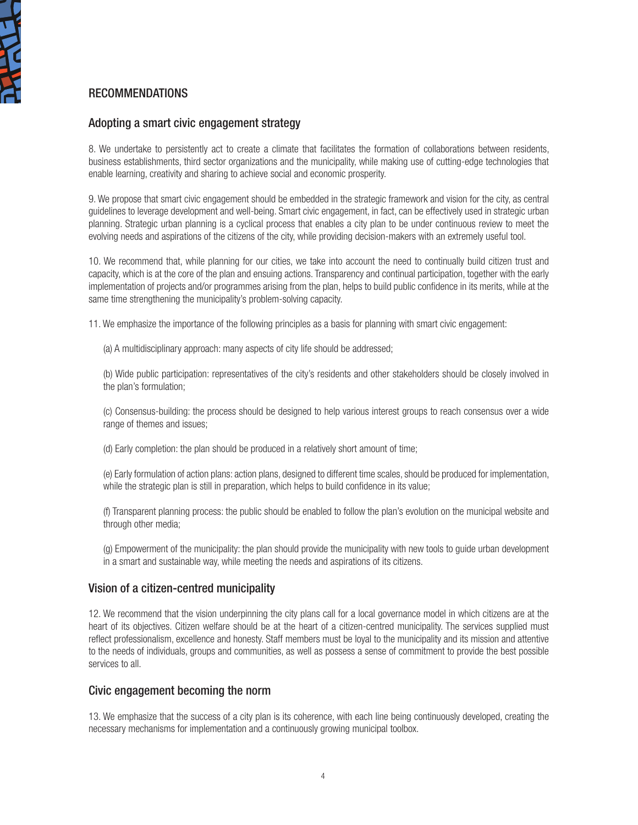

## RECOMMENDATIONS

## Adopting a smart civic engagement strategy

8. We undertake to persistently act to create a climate that facilitates the formation of collaborations between residents, business establishments, third sector organizations and the municipality, while making use of cutting-edge technologies that enable learning, creativity and sharing to achieve social and economic prosperity.

9. We propose that smart civic engagement should be embedded in the strategic framework and vision for the city, as central guidelines to leverage development and well-being. Smart civic engagement, in fact, can be effectively used in strategic urban planning. Strategic urban planning is a cyclical process that enables a city plan to be under continuous review to meet the evolving needs and aspirations of the citizens of the city, while providing decision-makers with an extremely useful tool.

10. We recommend that, while planning for our cities, we take into account the need to continually build citizen trust and capacity, which is at the core of the plan and ensuing actions. Transparency and continual participation, together with the early implementation of projects and/or programmes arising from the plan, helps to build public confidence in its merits, while at the same time strengthening the municipality's problem-solving capacity.

11. We emphasize the importance of the following principles as a basis for planning with smart civic engagement:

(a) A multidisciplinary approach: many aspects of city life should be addressed;

(b) Wide public participation: representatives of the city's residents and other stakeholders should be closely involved in the plan's formulation;

(c) Consensus-building: the process should be designed to help various interest groups to reach consensus over a wide range of themes and issues;

(d) Early completion: the plan should be produced in a relatively short amount of time;

(e) Early formulation of action plans: action plans, designed to different time scales, should be produced for implementation, while the strategic plan is still in preparation, which helps to build confidence in its value;

(f) Transparent planning process: the public should be enabled to follow the plan's evolution on the municipal website and through other media;

(g) Empowerment of the municipality: the plan should provide the municipality with new tools to guide urban development in a smart and sustainable way, while meeting the needs and aspirations of its citizens.

## Vision of a citizen-centred municipality

12. We recommend that the vision underpinning the city plans call for a local governance model in which citizens are at the heart of its objectives. Citizen welfare should be at the heart of a citizen-centred municipality. The services supplied must reflect professionalism, excellence and honesty. Staff members must be loyal to the municipality and its mission and attentive to the needs of individuals, groups and communities, as well as possess a sense of commitment to provide the best possible services to all

## Civic engagement becoming the norm

13. We emphasize that the success of a city plan is its coherence, with each line being continuously developed, creating the necessary mechanisms for implementation and a continuously growing municipal toolbox.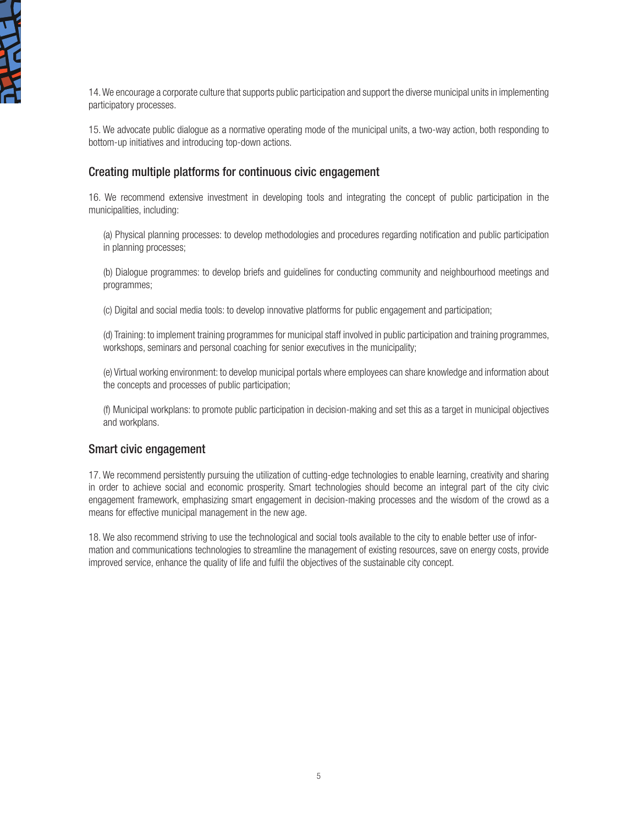

14. We encourage a corporate culture that supports public participation and support the diverse municipal units in implementing participatory processes.

15. We advocate public dialogue as a normative operating mode of the municipal units, a two-way action, both responding to bottom-up initiatives and introducing top-down actions.

## Creating multiple platforms for continuous civic engagement

16. We recommend extensive investment in developing tools and integrating the concept of public participation in the municipalities, including:

(a) Physical planning processes: to develop methodologies and procedures regarding notification and public participation in planning processes;

(b) Dialogue programmes: to develop briefs and guidelines for conducting community and neighbourhood meetings and programmes;

(c) Digital and social media tools: to develop innovative platforms for public engagement and participation;

(d) Training: to implement training programmes for municipal staff involved in public participation and training programmes, workshops, seminars and personal coaching for senior executives in the municipality;

(e) Virtual working environment: to develop municipal portals where employees can share knowledge and information about the concepts and processes of public participation;

(f) Municipal workplans: to promote public participation in decision-making and set this as a target in municipal objectives and workplans.

### Smart civic engagement

17. We recommend persistently pursuing the utilization of cutting-edge technologies to enable learning, creativity and sharing in order to achieve social and economic prosperity. Smart technologies should become an integral part of the city civic engagement framework, emphasizing smart engagement in decision-making processes and the wisdom of the crowd as a means for effective municipal management in the new age.

18. We also recommend striving to use the technological and social tools available to the city to enable better use of information and communications technologies to streamline the management of existing resources, save on energy costs, provide improved service, enhance the quality of life and fulfil the objectives of the sustainable city concept.